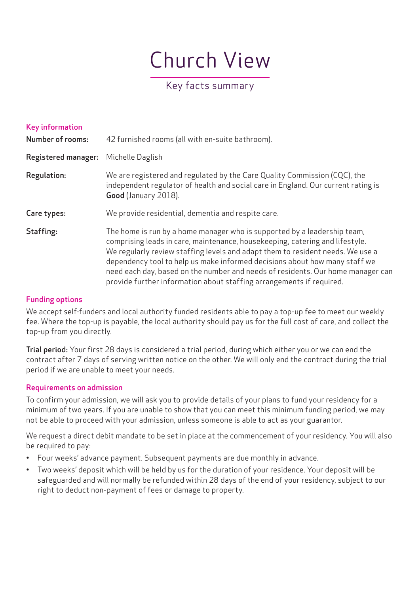# Church View

# Key facts summary

| <b>Key information</b><br><b>Number of rooms:</b> | 42 furnished rooms (all with en-suite bathroom).                                                                                                                                                                                                                                                                                                                                                                                                                                    |
|---------------------------------------------------|-------------------------------------------------------------------------------------------------------------------------------------------------------------------------------------------------------------------------------------------------------------------------------------------------------------------------------------------------------------------------------------------------------------------------------------------------------------------------------------|
| <b>Registered manager:</b>                        | Michelle Daglish                                                                                                                                                                                                                                                                                                                                                                                                                                                                    |
| Regulation:                                       | We are registered and regulated by the Care Quality Commission (CQC), the<br>independent regulator of health and social care in England. Our current rating is<br>Good (January 2018).                                                                                                                                                                                                                                                                                              |
| Care types:                                       | We provide residential, dementia and respite care.                                                                                                                                                                                                                                                                                                                                                                                                                                  |
| Staffing:                                         | The home is run by a home manager who is supported by a leadership team,<br>comprising leads in care, maintenance, housekeeping, catering and lifestyle.<br>We regularly review staffing levels and adapt them to resident needs. We use a<br>dependency tool to help us make informed decisions about how many staff we<br>need each day, based on the number and needs of residents. Our home manager can<br>provide further information about staffing arrangements if required. |

# Funding options

We accept self-funders and local authority funded residents able to pay a top-up fee to meet our weekly fee. Where the top-up is payable, the local authority should pay us for the full cost of care, and collect the top-up from you directly.

Trial period: Your first 28 days is considered a trial period, during which either you or we can end the contract after 7 days of serving written notice on the other. We will only end the contract during the trial period if we are unable to meet your needs.

#### Requirements on admission

To confirm your admission, we will ask you to provide details of your plans to fund your residency for a minimum of two years. If you are unable to show that you can meet this minimum funding period, we may not be able to proceed with your admission, unless someone is able to act as your guarantor.

We request a direct debit mandate to be set in place at the commencement of your residency. You will also be required to pay:

- Four weeks' advance payment. Subsequent payments are due monthly in advance.
- Two weeks' deposit which will be held by us for the duration of your residence. Your deposit will be safeguarded and will normally be refunded within 28 days of the end of your residency, subject to our right to deduct non-payment of fees or damage to property.